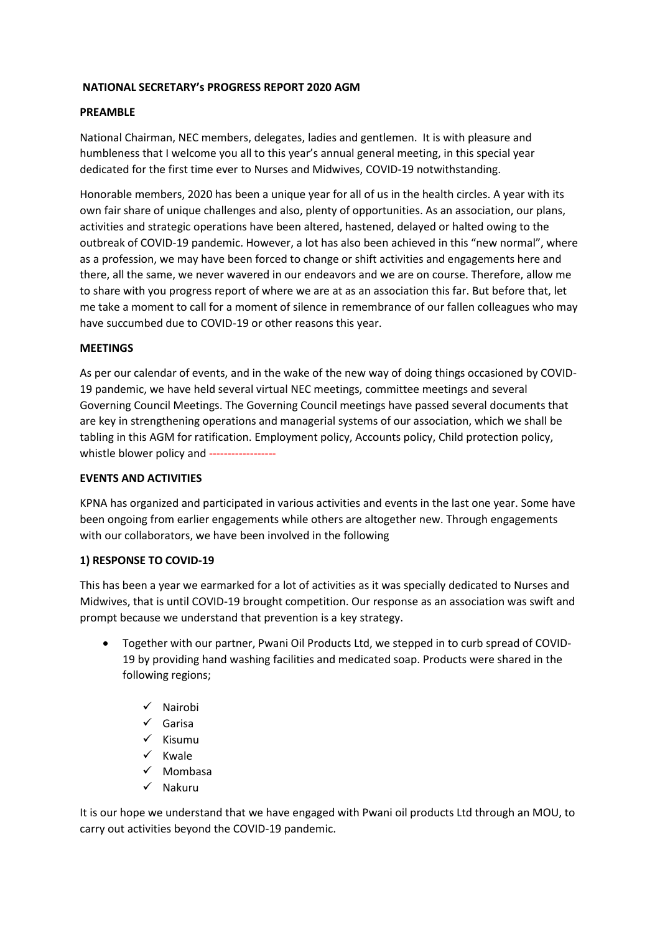### **NATIONAL SECRETARY's PROGRESS REPORT 2020 AGM**

### **PREAMBLE**

National Chairman, NEC members, delegates, ladies and gentlemen. It is with pleasure and humbleness that I welcome you all to this year's annual general meeting, in this special year dedicated for the first time ever to Nurses and Midwives, COVID-19 notwithstanding.

Honorable members, 2020 has been a unique year for all of us in the health circles. A year with its own fair share of unique challenges and also, plenty of opportunities. As an association, our plans, activities and strategic operations have been altered, hastened, delayed or halted owing to the outbreak of COVID-19 pandemic. However, a lot has also been achieved in this "new normal", where as a profession, we may have been forced to change or shift activities and engagements here and there, all the same, we never wavered in our endeavors and we are on course. Therefore, allow me to share with you progress report of where we are at as an association this far. But before that, let me take a moment to call for a moment of silence in remembrance of our fallen colleagues who may have succumbed due to COVID-19 or other reasons this year.

#### **MEETINGS**

As per our calendar of events, and in the wake of the new way of doing things occasioned by COVID-19 pandemic, we have held several virtual NEC meetings, committee meetings and several Governing Council Meetings. The Governing Council meetings have passed several documents that are key in strengthening operations and managerial systems of our association, which we shall be tabling in this AGM for ratification. Employment policy, Accounts policy, Child protection policy, whistle blower policy and ------------------

#### **EVENTS AND ACTIVITIES**

KPNA has organized and participated in various activities and events in the last one year. Some have been ongoing from earlier engagements while others are altogether new. Through engagements with our collaborators, we have been involved in the following

#### **1) RESPONSE TO COVID-19**

This has been a year we earmarked for a lot of activities as it was specially dedicated to Nurses and Midwives, that is until COVID-19 brought competition. Our response as an association was swift and prompt because we understand that prevention is a key strategy.

- Together with our partner, Pwani Oil Products Ltd, we stepped in to curb spread of COVID-19 by providing hand washing facilities and medicated soap. Products were shared in the following regions;
	- ✓ Nairobi
	- ✓ Garisa
	- ✓ Kisumu
	- ✓ Kwale
	- ✓ Mombasa
	- ✓ Nakuru

It is our hope we understand that we have engaged with Pwani oil products Ltd through an MOU, to carry out activities beyond the COVID-19 pandemic.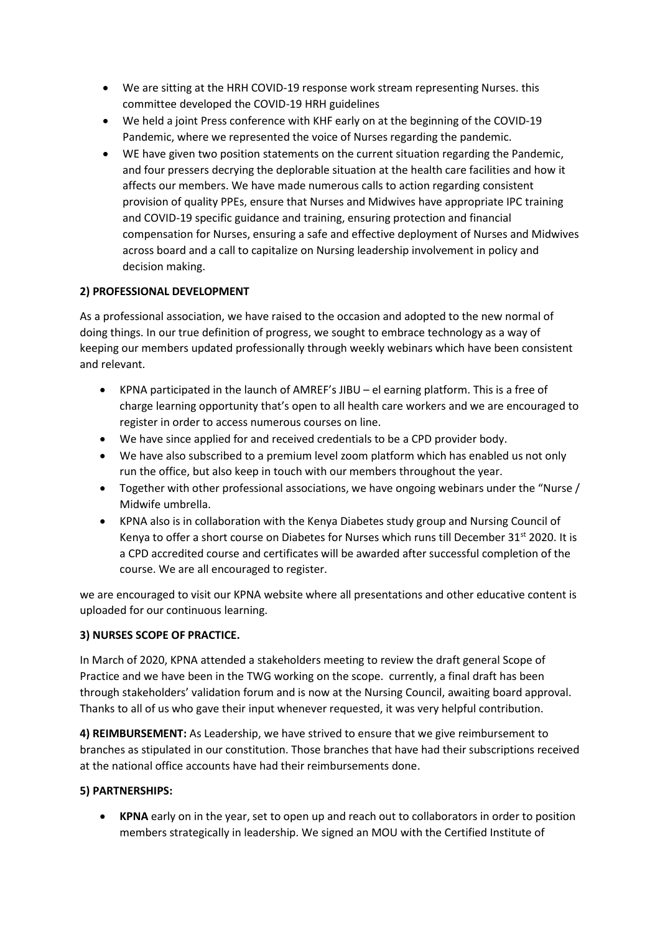- We are sitting at the HRH COVID-19 response work stream representing Nurses. this committee developed the COVID-19 HRH guidelines
- We held a joint Press conference with KHF early on at the beginning of the COVID-19 Pandemic, where we represented the voice of Nurses regarding the pandemic.
- WE have given two position statements on the current situation regarding the Pandemic, and four pressers decrying the deplorable situation at the health care facilities and how it affects our members. We have made numerous calls to action regarding consistent provision of quality PPEs, ensure that Nurses and Midwives have appropriate IPC training and COVID-19 specific guidance and training, ensuring protection and financial compensation for Nurses, ensuring a safe and effective deployment of Nurses and Midwives across board and a call to capitalize on Nursing leadership involvement in policy and decision making.

# **2) PROFESSIONAL DEVELOPMENT**

As a professional association, we have raised to the occasion and adopted to the new normal of doing things. In our true definition of progress, we sought to embrace technology as a way of keeping our members updated professionally through weekly webinars which have been consistent and relevant.

- KPNA participated in the launch of AMREF's JIBU el earning platform. This is a free of charge learning opportunity that's open to all health care workers and we are encouraged to register in order to access numerous courses on line.
- We have since applied for and received credentials to be a CPD provider body.
- We have also subscribed to a premium level zoom platform which has enabled us not only run the office, but also keep in touch with our members throughout the year.
- Together with other professional associations, we have ongoing webinars under the "Nurse / Midwife umbrella.
- KPNA also is in collaboration with the Kenya Diabetes study group and Nursing Council of Kenya to offer a short course on Diabetes for Nurses which runs till December  $31^{st}$  2020. It is a CPD accredited course and certificates will be awarded after successful completion of the course. We are all encouraged to register.

we are encouraged to visit our KPNA website where all presentations and other educative content is uploaded for our continuous learning.

# **3) NURSES SCOPE OF PRACTICE.**

In March of 2020, KPNA attended a stakeholders meeting to review the draft general Scope of Practice and we have been in the TWG working on the scope. currently, a final draft has been through stakeholders' validation forum and is now at the Nursing Council, awaiting board approval. Thanks to all of us who gave their input whenever requested, it was very helpful contribution.

**4) REIMBURSEMENT:** As Leadership, we have strived to ensure that we give reimbursement to branches as stipulated in our constitution. Those branches that have had their subscriptions received at the national office accounts have had their reimbursements done.

# **5) PARTNERSHIPS:**

• **KPNA** early on in the year, set to open up and reach out to collaborators in order to position members strategically in leadership. We signed an MOU with the Certified Institute of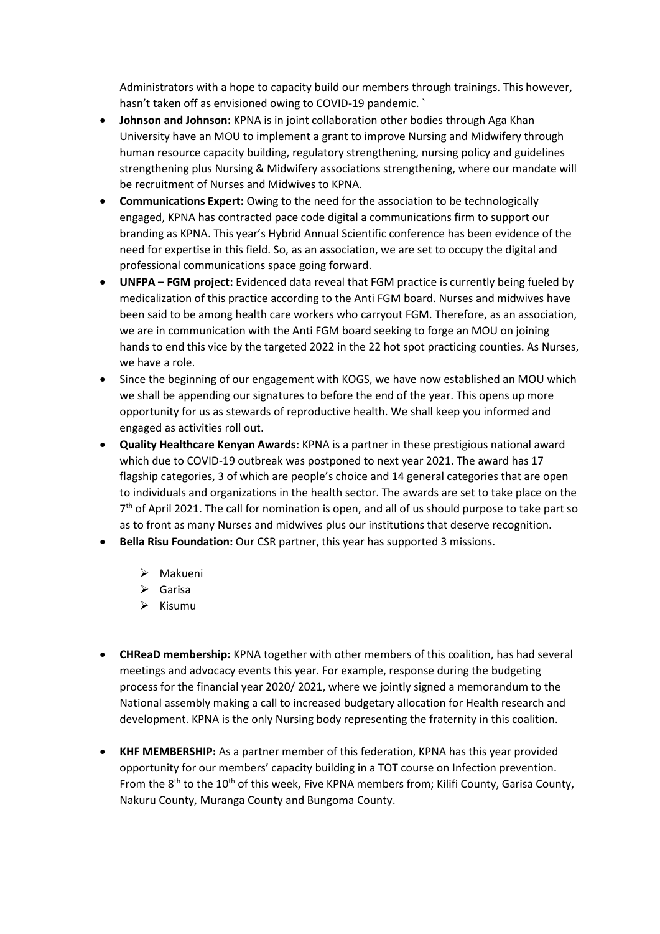Administrators with a hope to capacity build our members through trainings. This however, hasn't taken off as envisioned owing to COVID-19 pandemic. `

- **Johnson and Johnson:** KPNA is in joint collaboration other bodies through Aga Khan University have an MOU to implement a grant to improve Nursing and Midwifery through human resource capacity building, regulatory strengthening, nursing policy and guidelines strengthening plus Nursing & Midwifery associations strengthening, where our mandate will be recruitment of Nurses and Midwives to KPNA.
- **Communications Expert:** Owing to the need for the association to be technologically engaged, KPNA has contracted pace code digital a communications firm to support our branding as KPNA. This year's Hybrid Annual Scientific conference has been evidence of the need for expertise in this field. So, as an association, we are set to occupy the digital and professional communications space going forward.
- **UNFPA – FGM project:** Evidenced data reveal that FGM practice is currently being fueled by medicalization of this practice according to the Anti FGM board. Nurses and midwives have been said to be among health care workers who carryout FGM. Therefore, as an association, we are in communication with the Anti FGM board seeking to forge an MOU on joining hands to end this vice by the targeted 2022 in the 22 hot spot practicing counties. As Nurses, we have a role.
- Since the beginning of our engagement with KOGS, we have now established an MOU which we shall be appending our signatures to before the end of the year. This opens up more opportunity for us as stewards of reproductive health. We shall keep you informed and engaged as activities roll out.
- **Quality Healthcare Kenyan Awards**: KPNA is a partner in these prestigious national award which due to COVID-19 outbreak was postponed to next year 2021. The award has 17 flagship categories, 3 of which are people's choice and 14 general categories that are open to individuals and organizations in the health sector. The awards are set to take place on the 7<sup>th</sup> of April 2021. The call for nomination is open, and all of us should purpose to take part so as to front as many Nurses and midwives plus our institutions that deserve recognition.
- **Bella Risu Foundation:** Our CSR partner, this year has supported 3 missions.
	- ➢ Makueni
	- ➢ Garisa
	- ➢ Kisumu
- **CHReaD membership:** KPNA together with other members of this coalition, has had several meetings and advocacy events this year. For example, response during the budgeting process for the financial year 2020/ 2021, where we jointly signed a memorandum to the National assembly making a call to increased budgetary allocation for Health research and development. KPNA is the only Nursing body representing the fraternity in this coalition.
- **KHF MEMBERSHIP:** As a partner member of this federation, KPNA has this year provided opportunity for our members' capacity building in a TOT course on Infection prevention. From the 8<sup>th</sup> to the 10<sup>th</sup> of this week, Five KPNA members from; Kilifi County, Garisa County, Nakuru County, Muranga County and Bungoma County.